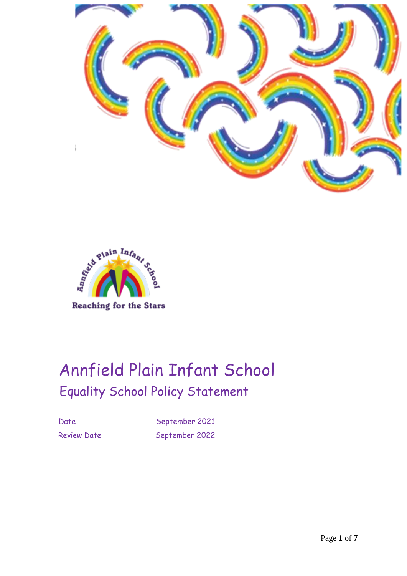



# Annfield Plain Infant School Equality School Policy Statement

Date September 2021 Review Date September 2022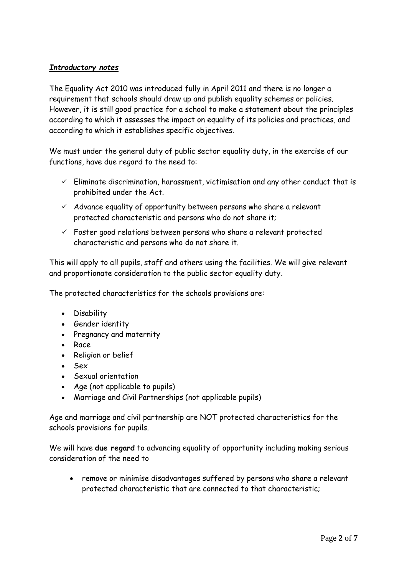# *Introductory notes*

The Equality Act 2010 was introduced fully in April 2011 and there is no longer a requirement that schools should draw up and publish equality schemes or policies. However, it is still good practice for a school to make a statement about the principles according to which it assesses the impact on equality of its policies and practices, and according to which it establishes specific objectives.

We must under the general duty of public sector equality duty, in the exercise of our functions, have due regard to the need to:

- $\checkmark$  Eliminate discrimination, harassment, victimisation and any other conduct that is prohibited under the Act.
- $\checkmark$  Advance equality of opportunity between persons who share a relevant protected characteristic and persons who do not share it;
- $\checkmark$  Foster good relations between persons who share a relevant protected characteristic and persons who do not share it.

This will apply to all pupils, staff and others using the facilities. We will give relevant and proportionate consideration to the public sector equality duty.

The protected characteristics for the schools provisions are:

- Disability
- Gender identity
- Pregnancy and maternity
- Race
- Religion or belief
- Sex
- Sexual orientation
- Age (not applicable to pupils)
- Marriage and Civil Partnerships (not applicable pupils)

Age and marriage and civil partnership are NOT protected characteristics for the schools provisions for pupils.

We will have **due regard** to advancing equality of opportunity including making serious consideration of the need to

• remove or minimise disadvantages suffered by persons who share a relevant protected characteristic that are connected to that characteristic;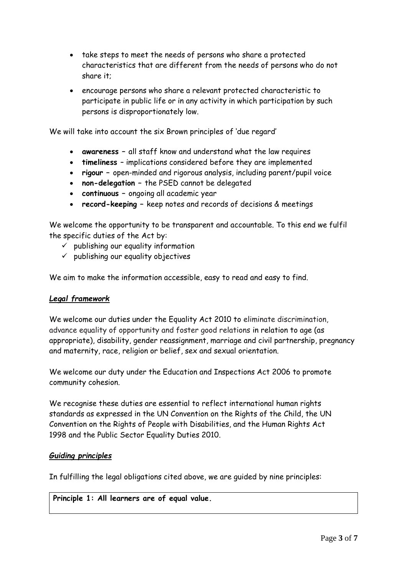- take steps to meet the needs of persons who share a protected characteristics that are different from the needs of persons who do not share it;
- encourage persons who share a relevant protected characteristic to participate in public life or in any activity in which participation by such persons is disproportionately low.

We will take into account the six Brown principles of 'due regard'

- **awareness –** all staff know and understand what the law requires
- **timeliness**  implications considered before they are implemented
- **rigour –** open-minded and rigorous analysis, including parent/pupil voice
- **non-delegation –** the PSED cannot be delegated
- **continuous –** ongoing all academic year
- **record-keeping –** keep notes and records of decisions & meetings

We welcome the opportunity to be transparent and accountable. To this end we fulfil the specific duties of the Act by:

- $\checkmark$  publishing our equality information
- $\checkmark$  publishing our equality objectives

We aim to make the information accessible, easy to read and easy to find.

## *Legal framework*

We welcome our duties under the Equality Act 2010 to eliminate discrimination, advance equality of opportunity and foster good relations in relation to age (as appropriate), disability, gender reassignment, marriage and civil partnership, pregnancy and maternity, race, religion or belief, sex and sexual orientation.

We welcome our duty under the Education and Inspections Act 2006 to promote community cohesion.

We recognise these duties are essential to reflect international human rights standards as expressed in the UN Convention on the Rights of the Child, the UN Convention on the Rights of People with Disabilities, and the Human Rights Act 1998 and the Public Sector Equality Duties 2010.

## *Guiding principles*

In fulfilling the legal obligations cited above, we are guided by nine principles:

**Principle 1: All learners are of equal value.**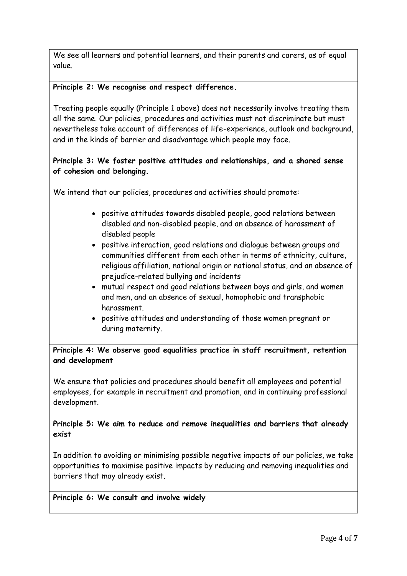We see all learners and potential learners, and their parents and carers, as of equal value.

## **Principle 2: We recognise and respect difference.**

Treating people equally (Principle 1 above) does not necessarily involve treating them all the same. Our policies, procedures and activities must not discriminate but must nevertheless take account of differences of life-experience, outlook and background, and in the kinds of barrier and disadvantage which people may face.

# **Principle 3: We foster positive attitudes and relationships, and a shared sense of cohesion and belonging.**

We intend that our policies, procedures and activities should promote:

- positive attitudes towards disabled people, good relations between disabled and non-disabled people, and an absence of harassment of disabled people
- positive interaction, good relations and dialogue between groups and communities different from each other in terms of ethnicity, culture, religious affiliation, national origin or national status, and an absence of prejudice-related bullying and incidents
- mutual respect and good relations between boys and girls, and women and men, and an absence of sexual, homophobic and transphobic harassment.
- positive attitudes and understanding of those women pregnant or during maternity.

**Principle 4: We observe good equalities practice in staff recruitment, retention and development**

We ensure that policies and procedures should benefit all employees and potential employees, for example in recruitment and promotion, and in continuing professional development.

**Principle 5: We aim to reduce and remove inequalities and barriers that already exist**

In addition to avoiding or minimising possible negative impacts of our policies, we take opportunities to maximise positive impacts by reducing and removing inequalities and barriers that may already exist.

**Principle 6: We consult and involve widely**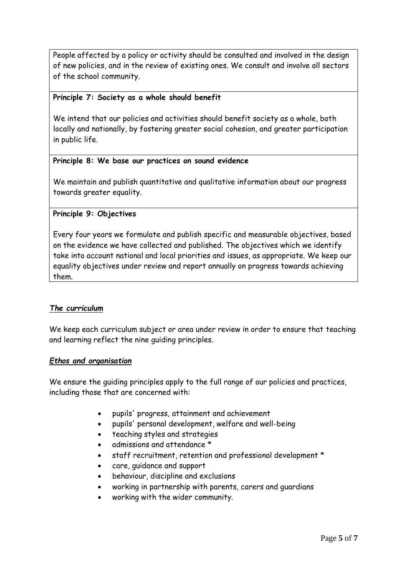People affected by a policy or activity should be consulted and involved in the design of new policies, and in the review of existing ones. We consult and involve all sectors of the school community.

#### **Principle 7: Society as a whole should benefit**

We intend that our policies and activities should benefit society as a whole, both locally and nationally, by fostering greater social cohesion, and greater participation in public life.

## **Principle 8: We base our practices on sound evidence**

We maintain and publish quantitative and qualitative information about our progress towards greater equality.

# **Principle 9: Objectives**

Every four years we formulate and publish specific and measurable objectives, based on the evidence we have collected and published. The objectives which we identify take into account national and local priorities and issues, as appropriate. We keep our equality objectives under review and report annually on progress towards achieving them.

## *The curriculum*

We keep each curriculum subject or area under review in order to ensure that teaching and learning reflect the nine guiding principles.

## *Ethos and organisation*

We ensure the quiding principles apply to the full range of our policies and practices, including those that are concerned with:

- pupils' progress, attainment and achievement
- pupils' personal development, welfare and well-being
- teaching styles and strategies
- admissions and attendance \*
- staff recruitment, retention and professional development \*
- care, guidance and support
- behaviour, discipline and exclusions
- working in partnership with parents, carers and guardians
- working with the wider community.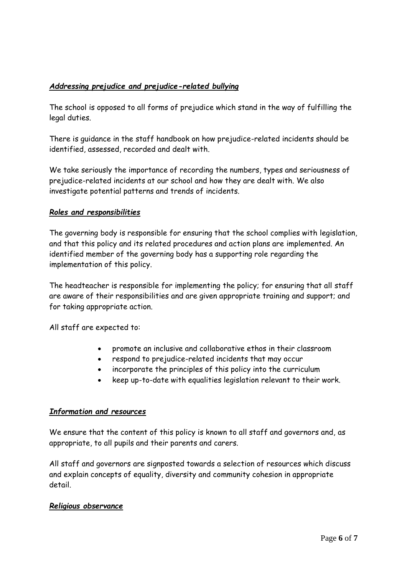# *Addressing prejudice and prejudice-related bullying*

The school is opposed to all forms of prejudice which stand in the way of fulfilling the legal duties.

There is guidance in the staff handbook on how prejudice-related incidents should be identified, assessed, recorded and dealt with.

We take seriously the importance of recording the numbers, types and seriousness of prejudice-related incidents at our school and how they are dealt with. We also investigate potential patterns and trends of incidents.

# *Roles and responsibilities*

The governing body is responsible for ensuring that the school complies with legislation, and that this policy and its related procedures and action plans are implemented. An identified member of the governing body has a supporting role regarding the implementation of this policy.

The headteacher is responsible for implementing the policy; for ensuring that all staff are aware of their responsibilities and are given appropriate training and support; and for taking appropriate action.

All staff are expected to:

- promote an inclusive and collaborative ethos in their classroom
- respond to prejudice-related incidents that may occur
- incorporate the principles of this policy into the curriculum
- keep up-to-date with equalities legislation relevant to their work.

## *Information and resources*

We ensure that the content of this policy is known to all staff and governors and, as appropriate, to all pupils and their parents and carers.

All staff and governors are signposted towards a selection of resources which discuss and explain concepts of equality, diversity and community cohesion in appropriate detail.

## *Religious observance*